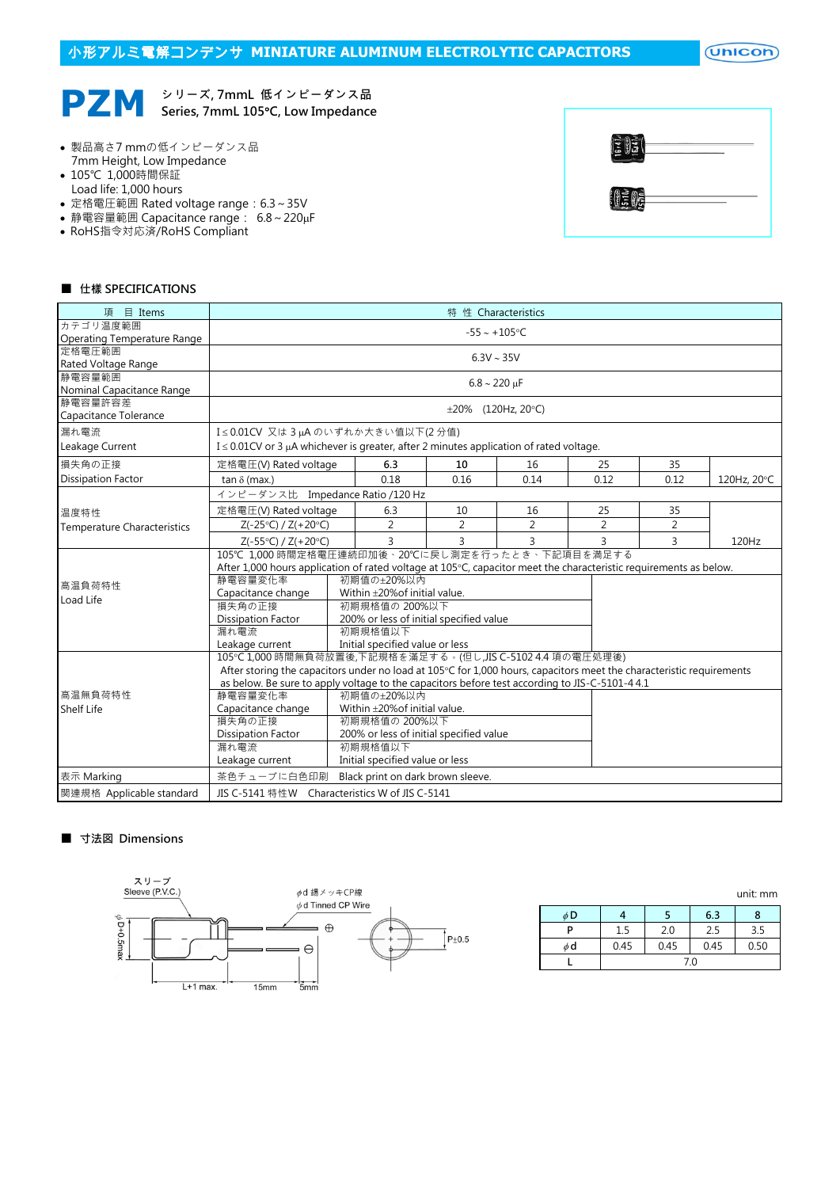# 小形アルミ電解コンデンサ **MINIATURE ALUMINUM ELECTROLYTIC CAPACITORS**

 $($ Unicon $)$ 

#### **PZM** シリーズ, 7mmL 低インピーダンス品 Series, 7mmL 105°C, Low Impedance

- 製品高さ7 mmの低インピーダンス品 7mm Height, Low Impedance
- 105℃ 1,000時間保証 Load life: 1,000 hours
- 定格電圧範囲 Rated voltage range: 6.3~35V
- 静電容量範囲 Capacitance range: 6.8~220µF
- RoHS指令対応済/RoHS Compliant

| $\frac{1}{2} \frac{1}{2} \frac{1}{2}$ |  |
|---------------------------------------|--|
| 1305                                  |  |

### ■ 仕樣 SPECIFICATIONS

| 項 目 Items                                                                | 特 性 Characteristics                                                                                                         |                                                                                              |         |                                   |                |                |                |             |  |  |  |
|--------------------------------------------------------------------------|-----------------------------------------------------------------------------------------------------------------------------|----------------------------------------------------------------------------------------------|---------|-----------------------------------|----------------|----------------|----------------|-------------|--|--|--|
| カテゴリ温度範囲                                                                 | $-55 - +105$ °C                                                                                                             |                                                                                              |         |                                   |                |                |                |             |  |  |  |
| Operating Temperature Range<br>定格電圧範囲                                    |                                                                                                                             |                                                                                              |         |                                   |                |                |                |             |  |  |  |
| Rated Voltage Range                                                      | $6.3V \sim 35V$                                                                                                             |                                                                                              |         |                                   |                |                |                |             |  |  |  |
| 静電容量範囲                                                                   |                                                                                                                             |                                                                                              |         |                                   |                |                |                |             |  |  |  |
| Nominal Capacitance Range                                                | $6.8 \sim 220 \,\mu F$                                                                                                      |                                                                                              |         |                                   |                |                |                |             |  |  |  |
| 静電容量許容差                                                                  |                                                                                                                             |                                                                                              |         |                                   |                |                |                |             |  |  |  |
| Capacitance Tolerance                                                    |                                                                                                                             | ±20% (120Hz, 20°C)                                                                           |         |                                   |                |                |                |             |  |  |  |
| 漏れ電流                                                                     | I≤0.01CV 又は3µAのいずれか大きい値以下(2分値)                                                                                              |                                                                                              |         |                                   |                |                |                |             |  |  |  |
| Leakage Current                                                          |                                                                                                                             | $I \leq 0.01$ CV or 3 µA whichever is greater, after 2 minutes application of rated voltage. |         |                                   |                |                |                |             |  |  |  |
| 損失角の正接                                                                   | 定格電圧(V) Rated voltage                                                                                                       |                                                                                              | 6.3     | 10                                | 16             | 25             | 35             |             |  |  |  |
| <b>Dissipation Factor</b>                                                | $tan \delta$ (max.)                                                                                                         |                                                                                              | 0.18    | 0.16                              | 0.14           | 0.12           | 0.12           | 120Hz, 20°C |  |  |  |
|                                                                          | インピーダンス比 Impedance Ratio /120 Hz                                                                                            |                                                                                              |         |                                   |                |                |                |             |  |  |  |
| 温度特性                                                                     | 定格電圧(V) Rated voltage                                                                                                       |                                                                                              | 6.3     | 10                                | 16             | 25             | 35             |             |  |  |  |
| <b>Temperature Characteristics</b>                                       | $Z(-25°C) / Z(+20°C)$                                                                                                       |                                                                                              | 2       | 2                                 | $\overline{2}$ | $\overline{2}$ | $\overline{2}$ |             |  |  |  |
|                                                                          | $Z(-55^{\circ}C) / Z(+20^{\circ}C)$                                                                                         |                                                                                              | 3       | 3                                 | 3              | 3              | 3              | 120Hz       |  |  |  |
|                                                                          | 105℃ 1.000 時間定格電圧連続印加後、20℃に戻し測定を行ったとき、下記項目を満足する                                                                             |                                                                                              |         |                                   |                |                |                |             |  |  |  |
|                                                                          | After 1,000 hours application of rated voltage at $105^{\circ}$ C, capacitor meet the characteristic requirements as below. |                                                                                              |         |                                   |                |                |                |             |  |  |  |
| 高温負荷特性                                                                   |                                                                                                                             | 静雷容量変化率<br>初期値の+20%以内                                                                        |         |                                   |                |                |                |             |  |  |  |
| Load Life                                                                | Within $\pm$ 20% of initial value.<br>Capacitance change                                                                    |                                                                                              |         |                                   |                |                |                |             |  |  |  |
|                                                                          | 損失角の正接<br>初期規格值の 200%以下                                                                                                     |                                                                                              |         |                                   |                |                |                |             |  |  |  |
|                                                                          | Dissipation Factor<br>200% or less of initial specified value                                                               |                                                                                              |         |                                   |                |                |                |             |  |  |  |
|                                                                          | 漏れ電流                                                                                                                        |                                                                                              | 初期規格值以下 |                                   |                |                |                |             |  |  |  |
|                                                                          | Leakage current<br>Initial specified value or less                                                                          |                                                                                              |         |                                   |                |                |                |             |  |  |  |
|                                                                          | 105℃1,000 時間無負荷放置後,下記規格を滿足する。(但し,JIS C-5102 4.4 項の電圧処理後)                                                                    |                                                                                              |         |                                   |                |                |                |             |  |  |  |
|                                                                          | After storing the capacitors under no load at 105°C for 1,000 hours, capacitors meet the characteristic requirements        |                                                                                              |         |                                   |                |                |                |             |  |  |  |
|                                                                          | as below. Be sure to apply voltage to the capacitors before test according to JIS-C-5101-4 4.1                              |                                                                                              |         |                                   |                |                |                |             |  |  |  |
| 高温無負荷特性                                                                  | 静電容量変化率<br>初期値の±20%以内                                                                                                       |                                                                                              |         |                                   |                |                |                |             |  |  |  |
| Within ±20% of initial value.<br><b>Shelf Life</b><br>Capacitance change |                                                                                                                             |                                                                                              |         |                                   |                |                |                |             |  |  |  |
|                                                                          | 損失角の正接<br>初期規格値の 200%以下                                                                                                     |                                                                                              |         |                                   |                |                |                |             |  |  |  |
|                                                                          | 200% or less of initial specified value<br>Dissipation Factor                                                               |                                                                                              |         |                                   |                |                |                |             |  |  |  |
|                                                                          | 初期規格值以下<br>漏れ電流                                                                                                             |                                                                                              |         |                                   |                |                |                |             |  |  |  |
|                                                                          | Initial specified value or less<br>Leakage current                                                                          |                                                                                              |         |                                   |                |                |                |             |  |  |  |
| 表示 Marking                                                               | 茶色チューブに白色印刷                                                                                                                 |                                                                                              |         | Black print on dark brown sleeve. |                |                |                |             |  |  |  |
| 関連規格 Applicable standard                                                 | JIS C-5141 特性W Characteristics W of JIS C-5141                                                                              |                                                                                              |         |                                   |                |                |                |             |  |  |  |

### ■ 寸法図 Dimensions



|          |      |      |      | unit: mm |  |  |  |
|----------|------|------|------|----------|--|--|--|
| φD       |      |      | 6.3  | 8        |  |  |  |
| P        | 1.5  | 2.0  | 2.5  | 3.5      |  |  |  |
| $\phi$ d | 0.45 | 0.45 | 0.45 | 0.50     |  |  |  |
|          | 7.0  |      |      |          |  |  |  |